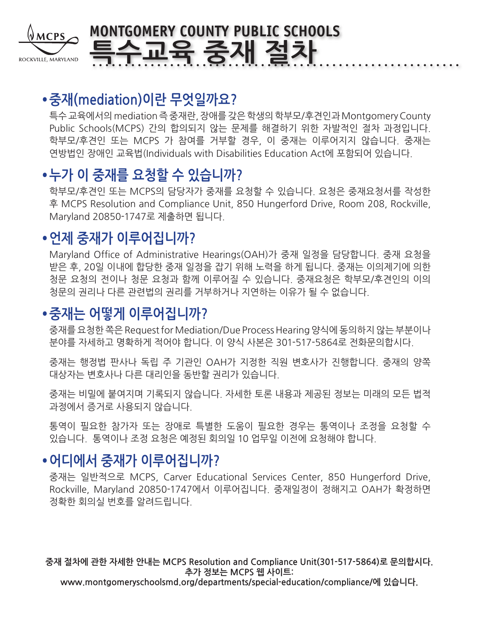

# **MONTGOMERY COUNTY PUBLIC SCHOOLS 특수교육 중재 절차**

## **•중재(mediation)이란 무엇일까요?**

특수 교육에서의 mediation 즉 중재란, 장애를 갖은 학생의 학부모/후견인과 Montgomery County Public Schools(MCPS) 간의 합의되지 않는 문제를 해결하기 위한 자발적인 절차 과정입니다. 학부모/후견인 또는 MCPS 가 참여를 거부할 경우, 이 중재는 이루어지지 않습니다. 중재는 연방법인 장애인 교육법(Individuals with Disabilities Education Act에 포함되어 있습니다.

## **•누가 이 중재를 요청할 수 있습니까?**

학부모/후견인 또는 MCPS의 담당자가 중재를 요청할 수 있습니다. 요청은 중재요청서를 작성한 후 MCPS Resolution and Compliance Unit, 850 Hungerford Drive, Room 208, Rockville, Maryland 20850-1747로 제출하면 됩니다.

## **•언제 중재가 이루어집니까?**

Maryland Office of Administrative Hearings(OAH)가 중재 일정을 담당합니다. 중재 요청을 받은 후, 20일 이내에 합당한 중재 일정을 잡기 위해 노력을 하게 됩니다. 중재는 이의제기에 의한 청문 요청의 전이나 청문 요청과 함께 이루어질 수 있습니다. 중재요청은 학부모/후견인의 이의 청문의 권리나 다른 관련법의 권리를 거부하거나 지연하는 이유가 될 수 없습니다.

## **•중재는 어떻게 이루어집니까?**

중재를 요청한 쪽은 Request for Mediation/Due Process Hearing 양식에 동의하지 않는 부분이나 분야를 자세하고 명확하게 적어야 합니다. 이 양식 사본은 301-517-5864로 전화문의합시다.

중재는 행정법 판사나 독립 주 기관인 OAH가 지정한 직원 변호사가 진행합니다. 중재의 양쪽 대상자는 변호사나 다른 대리인을 동반할 권리가 있습니다.

중재는 비밀에 붙여지며 기록되지 않습니다. 자세한 토론 내용과 제공된 정보는 미래의 모든 법적 과정에서 증거로 사용되지 않습니다.

통역이 필요한 참가자 또는 장애로 특별한 도움이 필요한 경우는 통역이나 조정을 요청할 수 있습니다. 통역이나 조정 요청은 예정된 회의일 10 업무일 이전에 요청해야 합니다.

## **•어디에서 중재가 이루어집니까?**

중재는 일반적으로 MCPS, Carver Educational Services Center, 850 Hungerford Drive, Rockville, Maryland 20850-1747에서 이루어집니다. 중재일정이 정해지고 OAH가 확정하면 정확한 회의실 번호를 알려드립니다.

**중재 절차에 관한 자세한 안내는 MCPS Resolution and Compliance Unit(301-517-5864)로 문의합시다. 추가 정보는 MCPS 웹 사이트: www.montgomeryschoolsmd.org/departments/special-education/compliance/에 있습니다.**